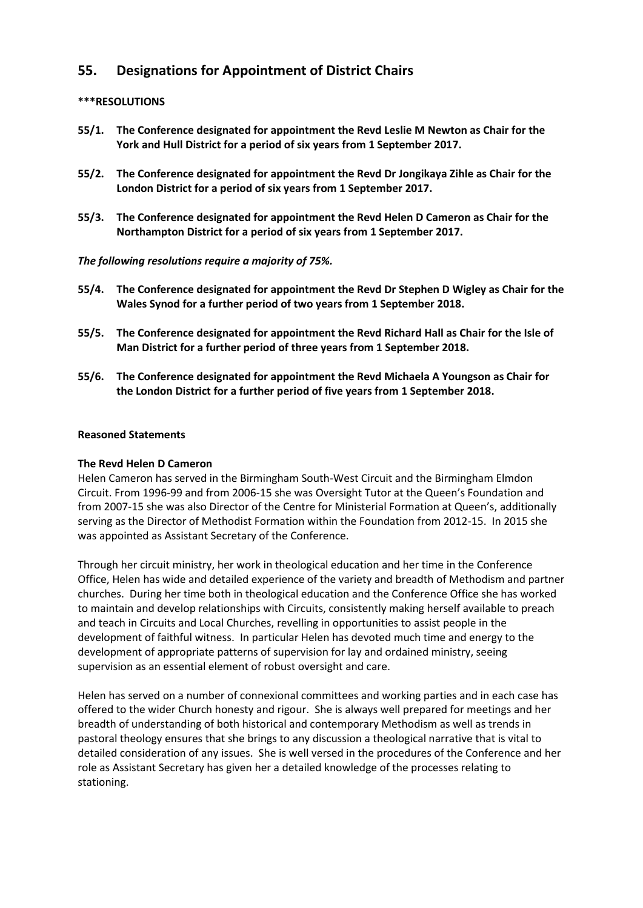# **55. Designations for Appointment of District Chairs**

## **\*\*\*RESOLUTIONS**

- **55/1. The Conference designated for appointment the Revd Leslie M Newton as Chair for the York and Hull District for a period of six years from 1 September 2017.**
- **55/2. The Conference designated for appointment the Revd Dr Jongikaya Zihle as Chair for the London District for a period of six years from 1 September 2017.**
- **55/3. The Conference designated for appointment the Revd Helen D Cameron as Chair for the Northampton District for a period of six years from 1 September 2017.**

## *The following resolutions require a majority of 75%.*

- **55/4. The Conference designated for appointment the Revd Dr Stephen D Wigley as Chair for the Wales Synod for a further period of two years from 1 September 2018.**
- **55/5. The Conference designated for appointment the Revd Richard Hall as Chair for the Isle of Man District for a further period of three years from 1 September 2018.**
- **55/6. The Conference designated for appointment the Revd Michaela A Youngson as Chair for the London District for a further period of five years from 1 September 2018.**

### **Reasoned Statements**

### **The Revd Helen D Cameron**

Helen Cameron has served in the Birmingham South-West Circuit and the Birmingham Elmdon Circuit. From 1996-99 and from 2006-15 she was Oversight Tutor at the Queen's Foundation and from 2007-15 she was also Director of the Centre for Ministerial Formation at Queen's, additionally serving as the Director of Methodist Formation within the Foundation from 2012-15. In 2015 she was appointed as Assistant Secretary of the Conference.

Through her circuit ministry, her work in theological education and her time in the Conference Office, Helen has wide and detailed experience of the variety and breadth of Methodism and partner churches. During her time both in theological education and the Conference Office she has worked to maintain and develop relationships with Circuits, consistently making herself available to preach and teach in Circuits and Local Churches, revelling in opportunities to assist people in the development of faithful witness. In particular Helen has devoted much time and energy to the development of appropriate patterns of supervision for lay and ordained ministry, seeing supervision as an essential element of robust oversight and care.

Helen has served on a number of connexional committees and working parties and in each case has offered to the wider Church honesty and rigour. She is always well prepared for meetings and her breadth of understanding of both historical and contemporary Methodism as well as trends in pastoral theology ensures that she brings to any discussion a theological narrative that is vital to detailed consideration of any issues. She is well versed in the procedures of the Conference and her role as Assistant Secretary has given her a detailed knowledge of the processes relating to stationing.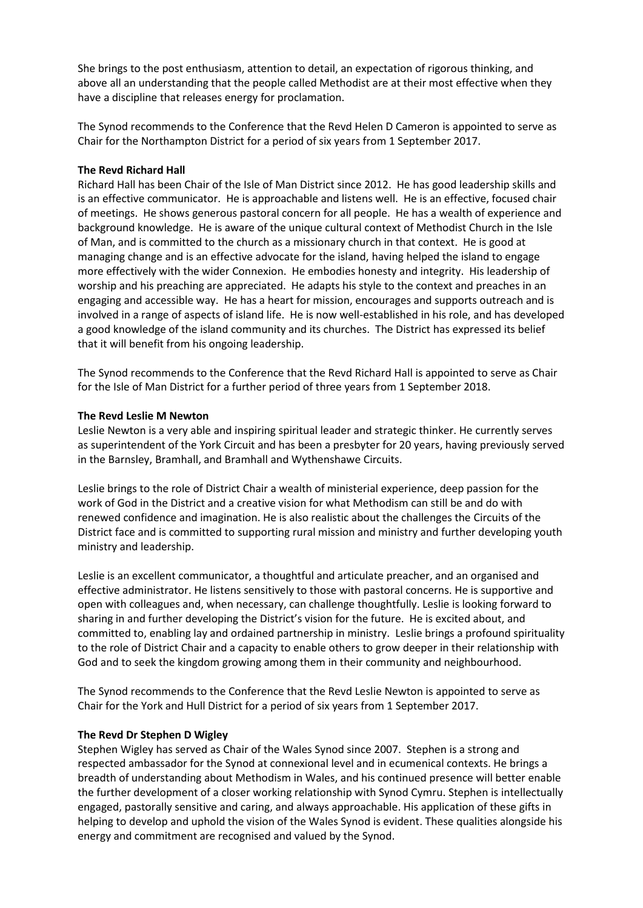She brings to the post enthusiasm, attention to detail, an expectation of rigorous thinking, and above all an understanding that the people called Methodist are at their most effective when they have a discipline that releases energy for proclamation.

The Synod recommends to the Conference that the Revd Helen D Cameron is appointed to serve as Chair for the Northampton District for a period of six years from 1 September 2017.

### **The Revd Richard Hall**

Richard Hall has been Chair of the Isle of Man District since 2012. He has good leadership skills and is an effective communicator. He is approachable and listens well. He is an effective, focused chair of meetings. He shows generous pastoral concern for all people. He has a wealth of experience and background knowledge. He is aware of the unique cultural context of Methodist Church in the Isle of Man, and is committed to the church as a missionary church in that context. He is good at managing change and is an effective advocate for the island, having helped the island to engage more effectively with the wider Connexion. He embodies honesty and integrity. His leadership of worship and his preaching are appreciated. He adapts his style to the context and preaches in an engaging and accessible way. He has a heart for mission, encourages and supports outreach and is involved in a range of aspects of island life. He is now well-established in his role, and has developed a good knowledge of the island community and its churches. The District has expressed its belief that it will benefit from his ongoing leadership.

The Synod recommends to the Conference that the Revd Richard Hall is appointed to serve as Chair for the Isle of Man District for a further period of three years from 1 September 2018.

## **The Revd Leslie M Newton**

Leslie Newton is a very able and inspiring spiritual leader and strategic thinker. He currently serves as superintendent of the York Circuit and has been a presbyter for 20 years, having previously served in the Barnsley, Bramhall, and Bramhall and Wythenshawe Circuits.

Leslie brings to the role of District Chair a wealth of ministerial experience, deep passion for the work of God in the District and a creative vision for what Methodism can still be and do with renewed confidence and imagination. He is also realistic about the challenges the Circuits of the District face and is committed to supporting rural mission and ministry and further developing youth ministry and leadership.

Leslie is an excellent communicator, a thoughtful and articulate preacher, and an organised and effective administrator. He listens sensitively to those with pastoral concerns. He is supportive and open with colleagues and, when necessary, can challenge thoughtfully. Leslie is looking forward to sharing in and further developing the District's vision for the future. He is excited about, and committed to, enabling lay and ordained partnership in ministry. Leslie brings a profound spirituality to the role of District Chair and a capacity to enable others to grow deeper in their relationship with God and to seek the kingdom growing among them in their community and neighbourhood.

The Synod recommends to the Conference that the Revd Leslie Newton is appointed to serve as Chair for the York and Hull District for a period of six years from 1 September 2017.

### **The Revd Dr Stephen D Wigley**

Stephen Wigley has served as Chair of the Wales Synod since 2007. Stephen is a strong and respected ambassador for the Synod at connexional level and in ecumenical contexts. He brings a breadth of understanding about Methodism in Wales, and his continued presence will better enable the further development of a closer working relationship with Synod Cymru. Stephen is intellectually engaged, pastorally sensitive and caring, and always approachable. His application of these gifts in helping to develop and uphold the vision of the Wales Synod is evident. These qualities alongside his energy and commitment are recognised and valued by the Synod.